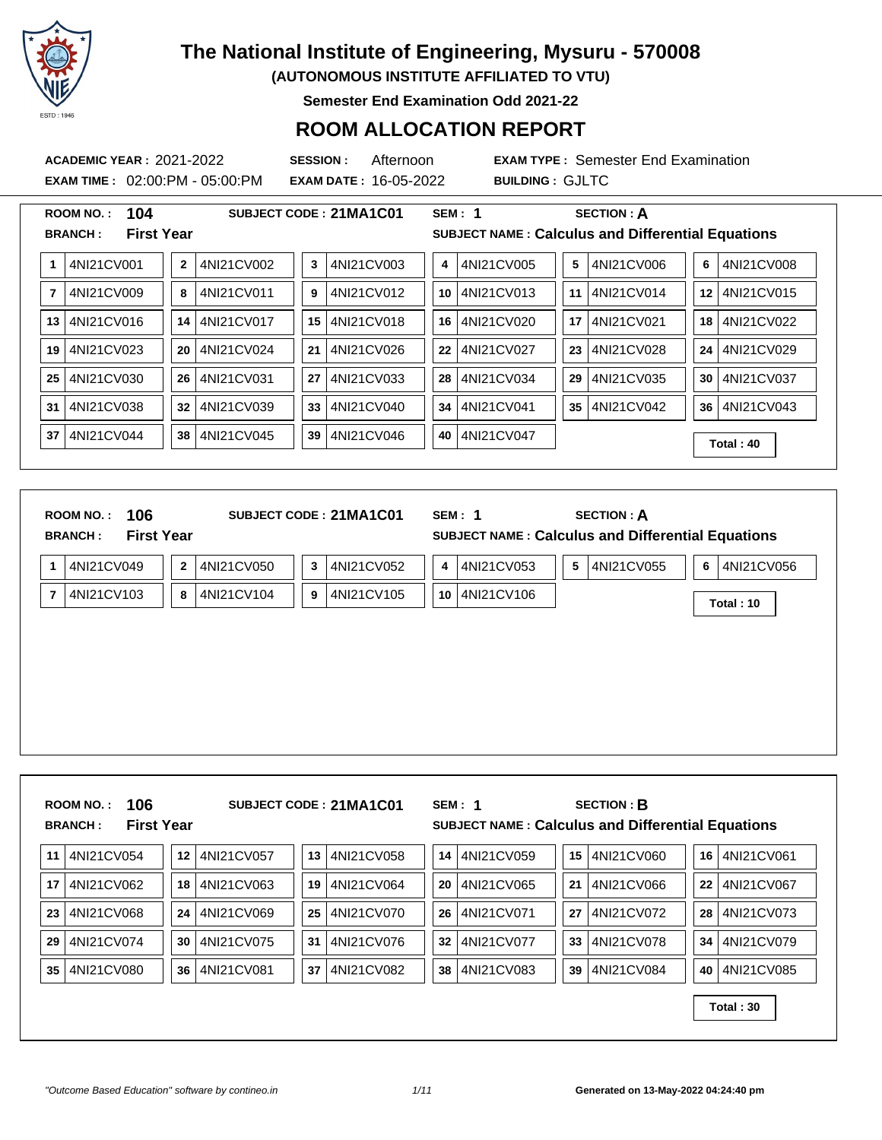

**(AUTONOMOUS INSTITUTE AFFILIATED TO VTU)**

**Semester End Examination Odd 2021-22**

### **ROOM ALLOCATION REPORT**

**ACADEMIC YEAR :** 2021-2022 **SESSION :** Afternoon **EXAM TYPE :** Semester End Examination **EXAM TIME :** 02:00:PM - 05:00:PM **EXAM DATE :** 16-05-2022 **BUILDING :** GJLTC

|                | 104<br><b>ROOM NO.:</b>             |                |            |    | SUBJECT CODE: 21MA1C01 |    | SEM: 1     |    | <b>SECTION: A</b>                                        |    |            |
|----------------|-------------------------------------|----------------|------------|----|------------------------|----|------------|----|----------------------------------------------------------|----|------------|
|                | <b>First Year</b><br><b>BRANCH:</b> |                |            |    |                        |    |            |    | <b>SUBJECT NAME: Calculus and Differential Equations</b> |    |            |
| 1              | 4NI21CV001                          | $\overline{2}$ | 4NI21CV002 | 3  | 4NI21CV003             | 4  | 4NI21CV005 | 5  | 4NI21CV006                                               | 6  | 4NI21CV008 |
| $\overline{7}$ | 4NI21CV009                          | 8              | 4NI21CV011 | 9  | 4NI21CV012             | 10 | 4NI21CV013 | 11 | 4NI21CV014                                               | 12 | 4NI21CV015 |
| 13             | 4NI21CV016                          | 14             | 4NI21CV017 | 15 | 4NI21CV018             | 16 | 4NI21CV020 | 17 | 4NI21CV021                                               | 18 | 4NI21CV022 |
| 19             | 4NI21CV023                          | 20             | 4NI21CV024 | 21 | 4NI21CV026             | 22 | 4NI21CV027 | 23 | 4NI21CV028                                               | 24 | 4NI21CV029 |
| 25             | 4NI21CV030                          | 26             | 4NI21CV031 | 27 | 4NI21CV033             | 28 | 4NI21CV034 | 29 | 4NI21CV035                                               | 30 | 4NI21CV037 |
| 31             | 4NI21CV038                          | 32             | 4NI21CV039 | 33 | 4NI21CV040             | 34 | 4NI21CV041 | 35 | 4NI21CV042                                               | 36 | 4NI21CV043 |
| 37             | 4NI21CV044                          | 38             | 4NI21CV045 | 39 | 4NI21CV046             | 40 | 4NI21CV047 |    |                                                          |    | Total: 40  |
|                |                                     |                |            |    |                        |    |            |    |                                                          |    |            |

| 106<br><b>ROOM NO.:</b><br><b>First Year</b><br><b>BRANCH:</b> |                            | SUBJECT CODE: 21MA1C01 | SEM: 1           | <b>SECTION: A</b><br>SUBJECT NAME : Calculus and Differential Equations |                 |
|----------------------------------------------------------------|----------------------------|------------------------|------------------|-------------------------------------------------------------------------|-----------------|
| 4NI21CV049<br>$\mathbf{1}$                                     | $\mathbf{2}$<br>4NI21CV050 | 4NI21CV052<br>3        | 4NI21CV053<br>4  | 5<br>4NI21CV055                                                         | 6<br>4NI21CV056 |
| 4NI21CV103<br>$\overline{7}$                                   | 8<br>4NI21CV104            | 4NI21CV105<br>9        | 4NI21CV106<br>10 |                                                                         | Total: 10       |
|                                                                |                            |                        |                  |                                                                         |                 |
|                                                                |                            |                        |                  |                                                                         |                 |
|                                                                |                            |                        |                  |                                                                         |                 |
|                                                                |                            |                        |                  |                                                                         |                 |
|                                                                |                            |                        |                  |                                                                         |                 |
|                                                                |                            |                        |                  |                                                                         |                 |

|                 | 11 4NI21CV054 |    | 12 4NI21CV057 | 13 | 4NI21CV058 | 14 | 4NI21CV059 | 15 <sup>1</sup> | 4NI21CV060 |                   | 16 4NI21CV061 |
|-----------------|---------------|----|---------------|----|------------|----|------------|-----------------|------------|-------------------|---------------|
| 17 <sup>1</sup> | 4NI21CV062    |    | 18 4NI21CV063 | 19 | 4NI21CV064 | 20 | 4NI21CV065 | 21              | 4NI21CV066 | $22 \overline{ }$ | 4NI21CV067    |
| 23              | 4NI21CV068    |    | 24 4NI21CV069 | 25 | 4NI21CV070 | 26 | 4NI21CV071 | 27              | 4NI21CV072 | 28                | 4NI21CV073    |
| 29              | 4NI21CV074    | 30 | 4NI21CV075    | 31 | 4NI21CV076 | 32 | 4NI21CV077 | 33              | 4NI21CV078 | 34                | 4NI21CV079    |
| 35              | 4NI21CV080    |    | 36 4NI21CV081 | 37 | 4NI21CV082 | 38 | 4NI21CV083 | 39              | 4NI21CV084 | 40 l              | 4NI21CV085    |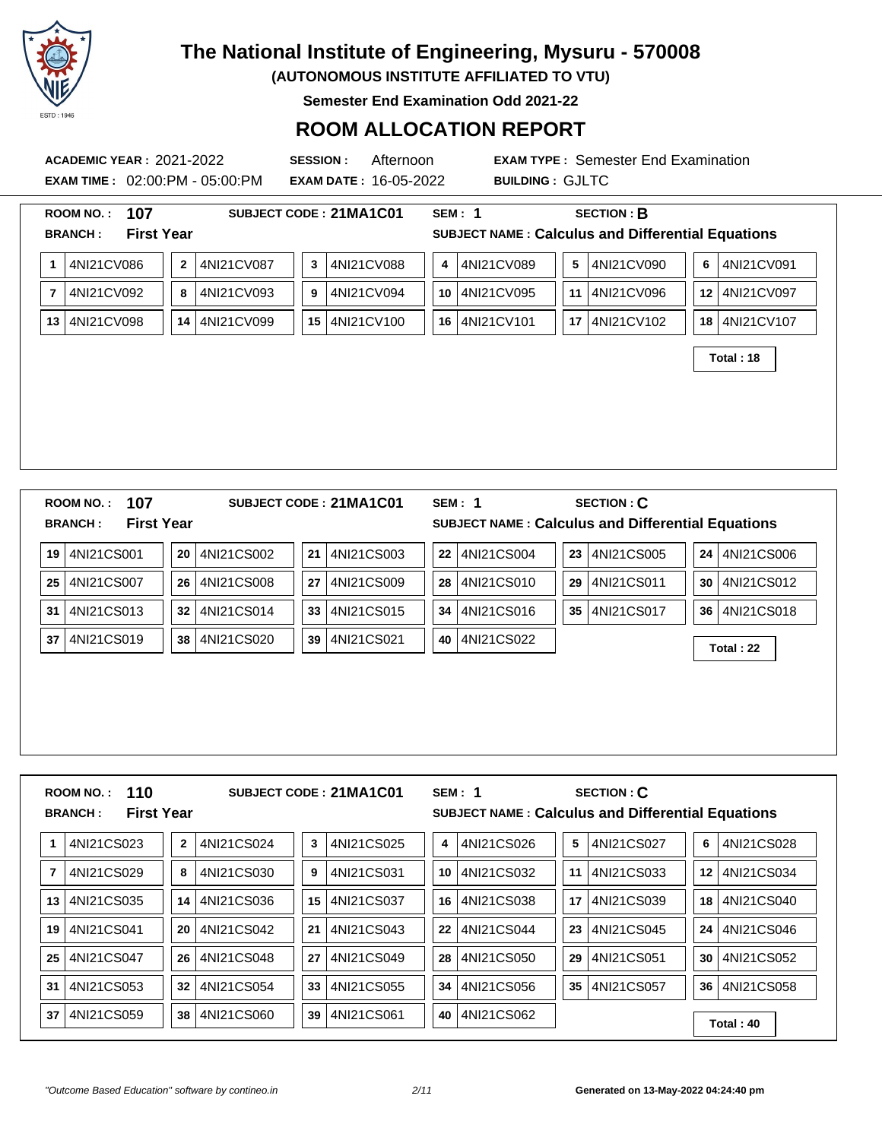

**(AUTONOMOUS INSTITUTE AFFILIATED TO VTU)**

**Semester End Examination Odd 2021-22**

### **ROOM ALLOCATION REPORT**

**EXAM TIME :** 02:00:PM - 05:00:PM **EXAM DATE :** 16-05-2022 **BUILDING :** GJLTC

**ACADEMIC YEAR :** 2021-2022 **SESSION :** Afternoon **EXAM TYPE :** Semester End Examination

| 107<br><b>ROOM NO.:</b>       | SUBJECT CODE: 21MA1C01                        | <b>SEM: 1</b><br><b>SECTION: B</b>                       |
|-------------------------------|-----------------------------------------------|----------------------------------------------------------|
| <b>BRANCH:</b>                | <b>First Year</b>                             | <b>SUBJECT NAME: Calculus and Differential Equations</b> |
| 4NI21CV086<br>1               | 4NI21CV087<br>4NI21CV088<br>3<br>$\mathbf{2}$ | 4NI21CV089<br>4NI21CV090<br>5<br>6<br>4NI21CV091<br>4    |
| 4NI21CV092<br>$\overline{7}$  | 4NI21CV093<br>4NI21CV094<br>9<br>8            | 4NI21CV095<br>4NI21CV096<br>12 4NI21CV097<br>10<br>11    |
| 4NI21CV098<br>13 <sup>1</sup> | 4NI21CV099<br>4NI21CV100<br>14<br>15          | 4NI21CV101<br>4NI21CV102<br>18 4NI21CV107<br>16<br>17    |
|                               |                                               | Total: 18                                                |
|                               |                                               |                                                          |
|                               |                                               |                                                          |
|                               |                                               |                                                          |
|                               |                                               |                                                          |
|                               |                                               |                                                          |
| 107<br><b>ROOM NO.:</b>       | SUBJECT CODE: 21MA1C01                        | <b>SECTION: C</b><br><b>SEM: 1</b>                       |
| <b>BRANCH:</b>                | <b>First Year</b>                             | SUBJECT NAME : Calculus and Differential Equations       |
| 19 4NI21CS001                 | 4NI21CS003<br>4NI21CS002<br>20<br>21          | 4NI21CS004<br>4NI21CS005<br>24 4NI21CS006<br>22<br>23    |
| 4NI21CS007<br>25              | 4NI21CS008<br>27<br>4NI21CS009<br>26          | 4NI21CS010<br>4NI21CS011<br>4NI21CS012<br>28<br>29<br>30 |
| 31<br>4NI21CS013              | 32<br>4NI21CS014<br>33<br>4NI21CS015          | 34<br>4NI21CS016<br>35   4NI21CS017<br>36   4NI21CS018   |
| 37 4NI21CS019                 | 4NI21CS020<br>4NI21CS021<br>38<br>39          | 4NI21CS022<br>40<br>Total: 22                            |
|                               |                                               |                                                          |
|                               |                                               |                                                          |
|                               |                                               |                                                          |
|                               |                                               |                                                          |
|                               |                                               |                                                          |
| 110<br><b>ROOM NO.:</b>       | SUBJECT CODE: 21MA1C01                        | <b>SECTION: C</b><br><b>SEM: 1</b>                       |
| <b>BRANCH:</b>                | <b>First Year</b>                             | SUBJECT NAME : Calculus and Differential Equations       |
|                               |                                               |                                                          |

| 4NI21CS023       | 4NI21CS024<br>4NI21CS025<br>3<br>$\mathbf{2}$ | 4NI21CS026<br>4NI21CS027<br>5<br>4   | 4NI21CS028<br>6  |
|------------------|-----------------------------------------------|--------------------------------------|------------------|
| 4NI21CS029       | 4NI21CS030<br>4NI21CS031<br>9<br>8            | 4NI21CS032<br>4NI21CS033<br>10<br>11 | 4NI21CS034<br>12 |
| 4NI21CS035<br>13 | 4NI21CS036<br>4NI21CS037<br>15<br>14          | 4NI21CS038<br>4NI21CS039<br>16<br>17 | 4NI21CS040<br>18 |
| 4NI21CS041<br>19 | 4NI21CS042<br>4NI21CS043<br>21<br>20          | 4NI21CS044<br>4NI21CS045<br>22<br>23 | 4NI21CS046<br>24 |
| 4NI21CS047<br>25 | 4NI21CS048<br>4NI21CS049<br>27<br>26          | 28<br>4NI21CS050<br>4NI21CS051<br>29 | 4NI21CS052<br>30 |
| 4NI21CS053<br>31 | 4NI21CS054<br>4NI21CS055<br>32<br>33          | 4NI21CS056<br>4NI21CS057<br>34<br>35 | 4NI21CS058<br>36 |
| 4NI21CS059<br>37 | 4NI21CS061<br>4NI21CS060<br>38<br>39          | 4NI21CS062<br>40                     | Total: 40        |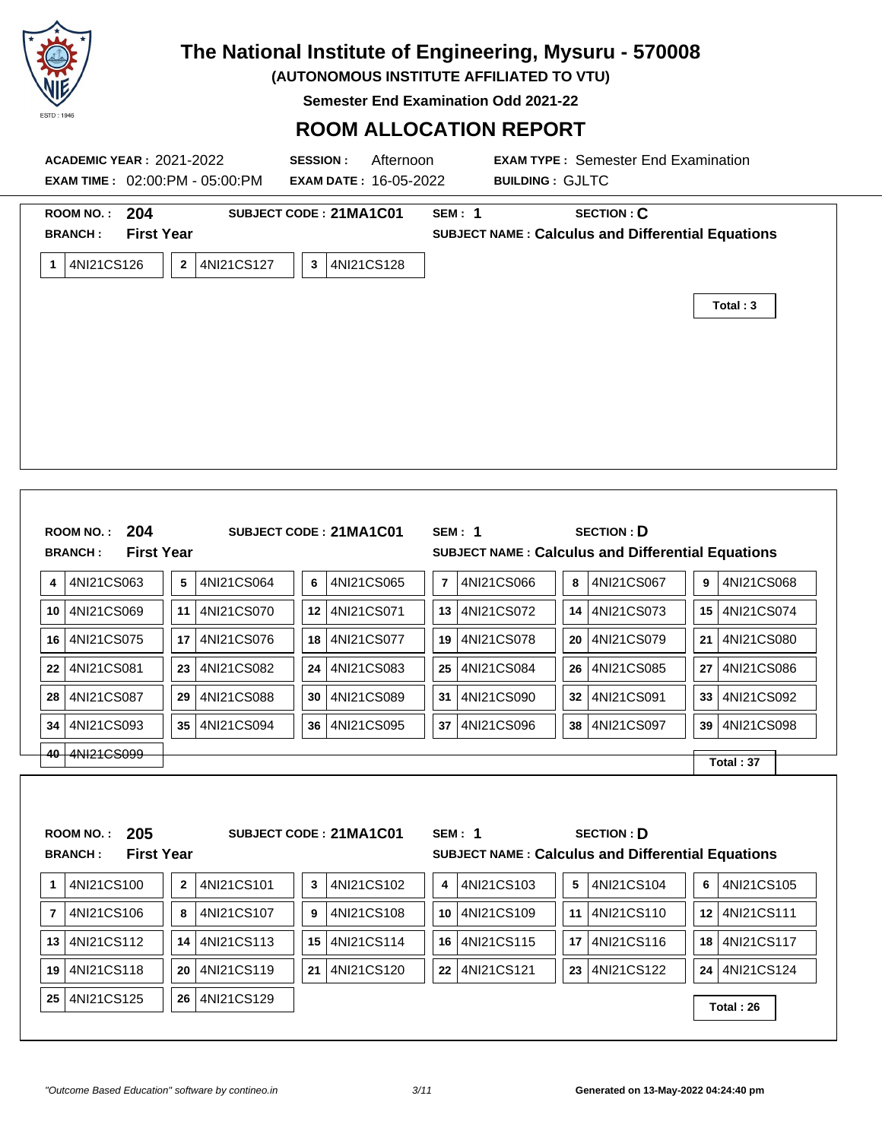

**(AUTONOMOUS INSTITUTE AFFILIATED TO VTU)**

**Semester End Examination Odd 2021-22**

| <b>ACADEMIC YEAR : 2021-2022</b><br><b>EXAM TIME: 02:00:PM - 05:00:PM</b>    |                                     | <b>SESSION:</b><br>Afternoon<br><b>EXAM DATE: 16-05-2022</b> | <b>EXAM TYPE: Semester End Examination</b><br><b>BUILDING: GJLTC</b>                                                       |                        |
|------------------------------------------------------------------------------|-------------------------------------|--------------------------------------------------------------|----------------------------------------------------------------------------------------------------------------------------|------------------------|
| ROOM NO.: 204<br><b>BRANCH:</b><br><b>First Year</b>                         |                                     | SUBJECT CODE: 21MA1C01                                       | <b>SECTION: C</b><br><b>SEM: 1</b><br><b>SUBJECT NAME: Calculus and Differential Equations</b>                             |                        |
| 1 4NI21CS126                                                                 | 4NI21CS127<br>$\mathbf{2}$          | 4NI21CS128<br>3 <sup>1</sup>                                 |                                                                                                                            | Total: 3               |
| ROOM NO.: 204<br><b>First Year</b><br><b>BRANCH:</b>                         |                                     | SUBJECT CODE: 21MA1C01                                       | <b>SECTION: D</b><br><b>SEM: 1</b><br>SUBJECT NAME : Calculus and Differential Equations                                   |                        |
| 4NI21CS063<br>4                                                              | ${\bf 5}$<br>4NI21CS064             | 6<br>4NI21CS065                                              | $\overline{7}$<br>4NI21CS066<br>8<br>4NI21CS067                                                                            | 4NI21CS068<br>9        |
| 10 4NI21CS069                                                                | 4NI21CS070<br>11                    | 12 4NI21CS071                                                | 14 4NI21CS073<br>13   4NI21CS072                                                                                           | 15   4NI21CS074        |
| 16 4NI21CS075                                                                | 17<br>4NI21CS076                    | 18 <sup>1</sup><br>4NI21CS077                                | 4NI21CS079<br>19   4NI21CS078<br>20                                                                                        | 4NI21CS080<br>21       |
| 22<br>4NI21CS081                                                             | 23<br>4NI21CS082                    | 24<br>4NI21CS083                                             | 25   4NI21CS084<br>26<br>4NI21CS085                                                                                        | 27<br>4NI21CS086       |
| 28 4NI21CS087                                                                | 4NI21CS088<br>29                    | 4NI21CS089<br>30                                             | 4NI21CS090<br>4NI21CS091<br>31<br>32                                                                                       | 4NI21CS092<br>33       |
| 4NI21CS093<br>34                                                             | 4NI21CS094<br>35                    | 36<br>4NI21CS095                                             | 4NI21CS097<br>4NI21CS096<br>38 l<br>37                                                                                     | 4NI21CS098<br>39       |
| 40 4NI21CS099                                                                |                                     |                                                              |                                                                                                                            | Total: 37              |
| 205<br><b>ROOM NO.:</b><br><b>First Year</b><br><b>BRANCH:</b><br>4NI21CS100 | $\bf 2$<br>4NI21CS101               | SUBJECT CODE: 21MA1C01<br>4NI21CS102                         | <b>SECTION: D</b><br><b>SEM: 1</b><br><b>SUBJECT NAME: Calculus and Differential Equations</b><br>4NI21CS104<br>4NI21CS103 | 6<br>4NI21CS105        |
| 1                                                                            |                                     | 3                                                            | 4<br>5                                                                                                                     | 4NI21CS111             |
| 4NI21CS106<br>$\overline{7}$<br>13 4NI21CS112                                | 4NI21CS107<br>8<br>4NI21CS113<br>14 | 4NI21CS108<br>9<br>4NI21CS114<br>15                          | 10 4NI21CS109<br>4NI21CS110<br>11<br>4NI21CS115<br>4NI21CS116<br>16<br>17                                                  | 12<br>4NI21CS117<br>18 |
| 19 4NI21CS118                                                                | 20<br>4NI21CS119                    | 21 4NI21CS120                                                | 22 4NI21CS121<br>23<br>4NI21CS122                                                                                          | 24<br>4NI21CS124       |
| 25 4NI21CS125                                                                | 4NI21CS129<br>26                    |                                                              |                                                                                                                            |                        |
|                                                                              |                                     |                                                              |                                                                                                                            | Total: 26              |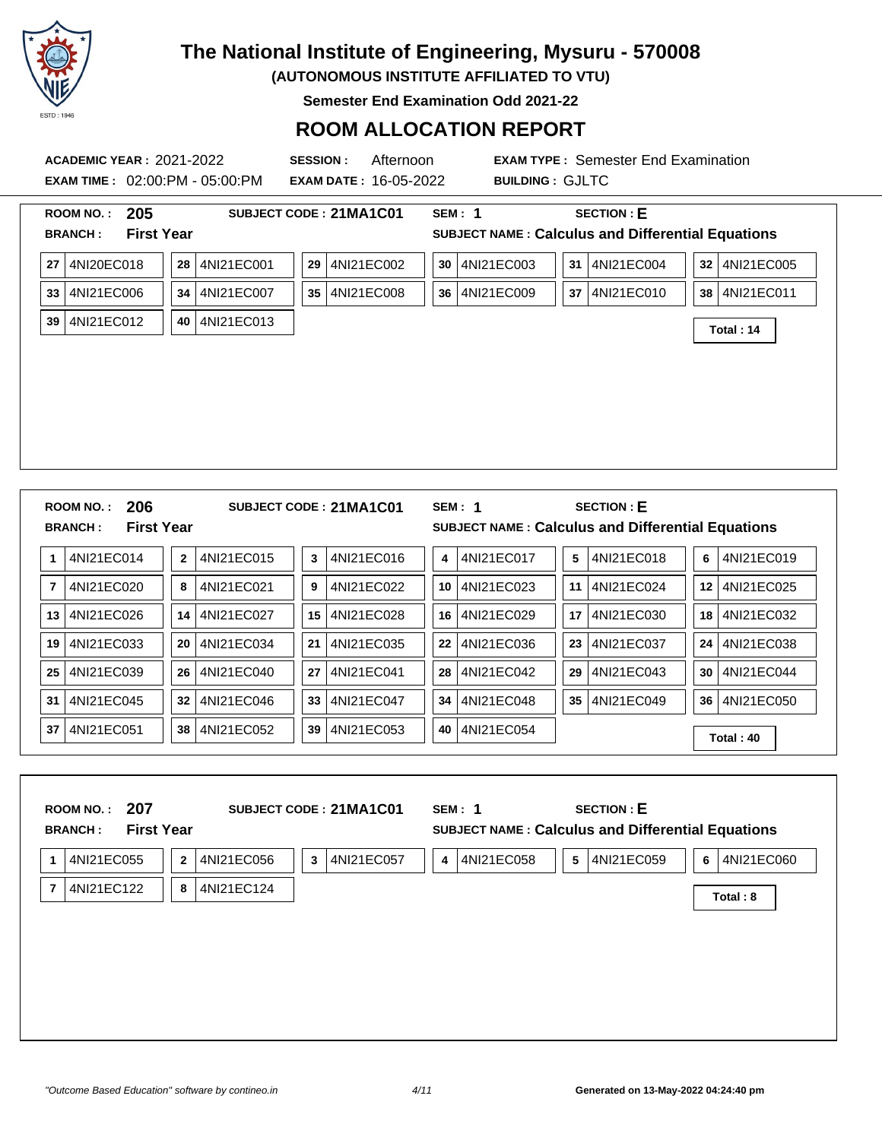

**(AUTONOMOUS INSTITUTE AFFILIATED TO VTU)**

**Semester End Examination Odd 2021-22**

| <b>ACADEMIC YEAR: 2021-2022</b><br><b>EXAM TIME: 02:00:PM - 05:00:PM</b> | <b>SESSION:</b><br>Afternoon<br><b>EXAM DATE: 16-05-2022</b> | <b>EXAM TYPE: Semester End Examination</b><br><b>BUILDING: GJLTC</b>                           |
|--------------------------------------------------------------------------|--------------------------------------------------------------|------------------------------------------------------------------------------------------------|
| 205<br><b>ROOM NO.:</b><br><b>First Year</b><br><b>BRANCH:</b>           | SUBJECT CODE: 21MA1C01                                       | <b>SECTION: E</b><br><b>SEM: 1</b><br><b>SUBJECT NAME: Calculus and Differential Equations</b> |
| 27   4NI20EC018                                                          | 4NI21EC001<br>4NI21EC002<br>28<br>29                         | 4NI21EC003<br>31 4NI21EC004<br>32 4NI21EC005<br>30                                             |
| 4NI21EC006<br>33                                                         | 4NI21EC007<br>4NI21EC008<br>34<br>35 I                       | 36 4NI21EC009<br>4NI21EC010<br>38 4NI21EC011<br>37                                             |
| 39   4NI21EC012                                                          | 40 4NI21EC013                                                | Total: 14                                                                                      |
| 206<br><b>ROOM NO.:</b>                                                  | SUBJECT CODE: 21MA1C01                                       | SEM: 1<br><b>SECTION: E</b>                                                                    |
| <b>First Year</b><br><b>BRANCH:</b>                                      |                                                              | <b>SUBJECT NAME: Calculus and Differential Equations</b>                                       |
| 1 4NI21EC014                                                             | 4NI21EC015<br>4NI21EC016<br>$\mathbf{2}$<br>3                | 4NI21EC017<br>4NI21EC018<br>4NI21EC019<br>5<br>6<br>4                                          |
| $\overline{7}$<br>4NI21EC020                                             | 4NI21EC021<br>4NI21EC022<br>8<br>9                           | 4NI21EC023<br>4NI21EC024<br>4NI21EC025<br>10<br>11<br>12                                       |
| 13 4NI21EC026                                                            | 4NI21EC027<br>4NI21EC028<br>14<br>15 <sup>1</sup>            | 4NI21EC029<br>4NI21EC030<br>4NI21EC032<br>16<br>17<br>18                                       |
| 19 4NI21EC033                                                            | 4NI21EC034<br>4NI21EC035<br>20<br>21                         | 4NI21EC036<br>4NI21EC037<br>4NI21EC038<br>23<br>24<br>22                                       |
| 4NI21EC039<br>25                                                         | 4NI21EC040<br>4NI21EC041<br>26<br>27                         | 4NI21EC042<br>4NI21EC043<br>4NI21EC044<br>29<br>30<br>28                                       |
| 4NI21EC045<br>31                                                         | 4NI21EC046<br>4NI21EC047<br>32<br>33 <sup>°</sup>            | 4NI21EC049<br>4NI21EC050<br>4NI21EC048<br>34<br>35<br>36                                       |
| 37 4NI21EC051                                                            | 4NI21EC052<br>4NI21EC053<br>38 I<br>39                       | 4NI21EC054<br>40<br>Total: 40                                                                  |
| ROOM NO.: 207                                                            | SUBJECT CODE: 21MA1C01<br><b>First Year</b>                  | <b>SEM: 1</b><br><b>SECTION: E</b><br><b>SUBJECT NAME: Calculus and Differential Equations</b> |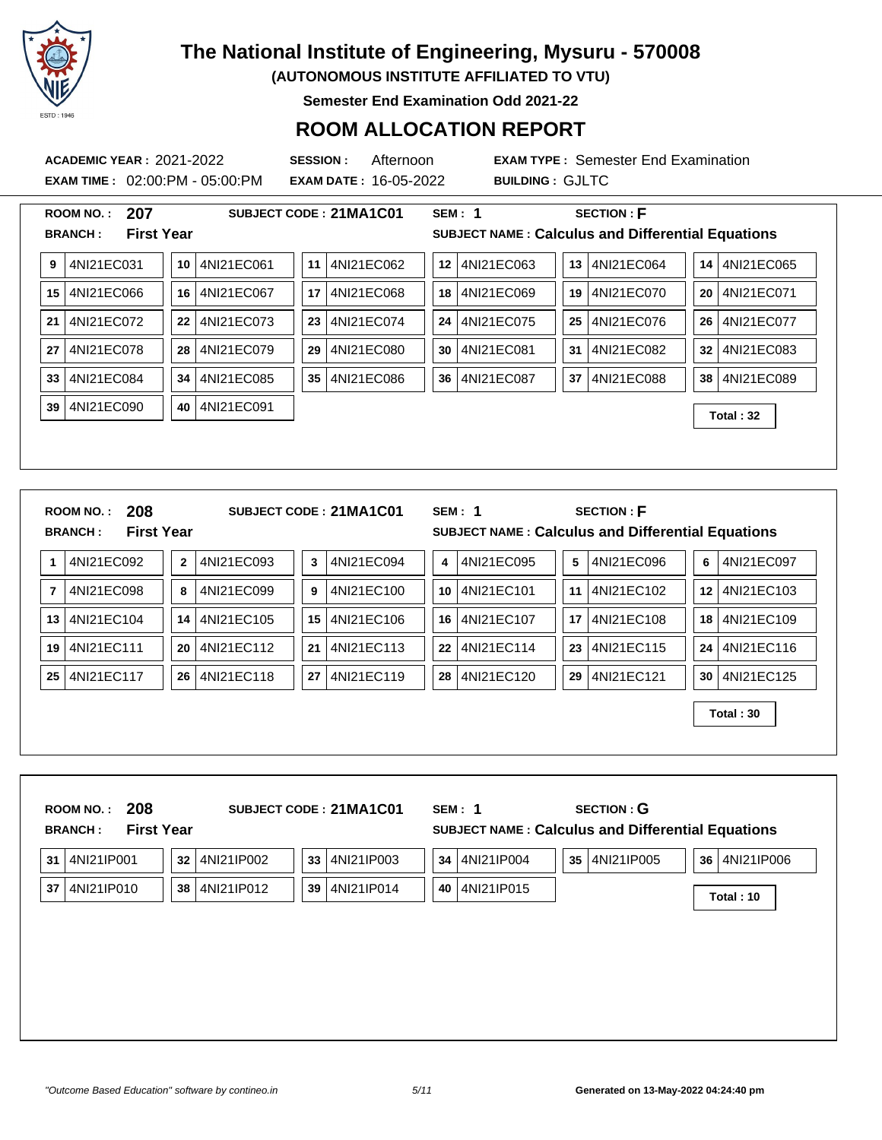

**(AUTONOMOUS INSTITUTE AFFILIATED TO VTU)**

**Semester End Examination Odd 2021-22**

| 207<br><b>SECTION: F</b><br>SUBJECT CODE: 21MA1C01<br><b>SEM: 1</b><br><b>ROOM NO.:</b><br><b>First Year</b><br><b>SUBJECT NAME: Calculus and Differential Equations</b><br><b>BRANCH:</b><br>4NI21EC031<br>12 4NI21EC063<br>13 4NI21EC064<br>14 4NI21EC065<br>4NI21EC061<br>4NI21EC062<br>9<br>10<br>11<br>4NI21EC066<br>4NI21EC067<br>4NI21EC068<br>4NI21EC069<br>19 4NI21EC070<br>20 4NI21EC071<br>17<br>15  <br>16<br>18<br>4NI21EC072<br>4NI21EC073<br>4NI21EC074<br>4NI21EC075<br>25   4NI21EC076<br>4NI21EC077<br>24<br>21<br>22<br>23<br>26 <sup>1</sup><br>4NI21EC078<br>4NI21EC079<br>4NI21EC080<br>4NI21EC081<br>4NI21EC082<br>32   4NI21EC083<br>28<br>29<br>30<br>31<br>27<br>4NI21EC084<br>4NI21EC086<br>36<br>4NI21EC087<br>37   4NI21EC088<br>38 4NI21EC089<br>4NI21EC085<br>35<br>33<br>34<br>4NI21EC090<br>4NI21EC091<br>39<br>40<br>Total: 32<br>208<br><b>SECTION: F</b><br><b>ROOM NO.:</b><br>SUBJECT CODE: 21MA1C01<br><b>SEM: 1</b><br><b>First Year</b><br><b>SUBJECT NAME: Calculus and Differential Equations</b><br><b>BRANCH:</b><br>4NI21EC092<br>4NI21EC093<br>4NI21EC094<br>4NI21EC095<br>4NI21EC096<br>$\sqrt{5}$<br>4NI21EC097<br>$\mathbf{2}$<br>3<br>4<br>6<br>1<br>4NI21EC098<br>4NI21EC099<br>4NI21EC100<br>4NI21EC101<br>11   4NI21EC102<br>12   4NI21EC103<br>7<br>8<br>9<br>10<br>4NI21EC104<br>4NI21EC105<br>15<br>4NI21EC106<br>4NI21EC107<br>17   4NI21EC108<br>4NI21EC109<br>13<br>14<br>16<br>18<br>4NI21EC111<br>4NI21EC112<br>4NI21EC113<br>22<br>4NI21EC114<br>23 <br>4NI21EC115<br>4NI21EC116<br>19<br>20<br>21<br>24<br>4NI21EC117<br>26   4NI21EC118<br>27<br>4NI21EC119<br>28   4NI21EC120<br>29   4NI21EC121<br>30 4NI21EC125<br>25<br>Total: 30 |
|--------------------------------------------------------------------------------------------------------------------------------------------------------------------------------------------------------------------------------------------------------------------------------------------------------------------------------------------------------------------------------------------------------------------------------------------------------------------------------------------------------------------------------------------------------------------------------------------------------------------------------------------------------------------------------------------------------------------------------------------------------------------------------------------------------------------------------------------------------------------------------------------------------------------------------------------------------------------------------------------------------------------------------------------------------------------------------------------------------------------------------------------------------------------------------------------------------------------------------------------------------------------------------------------------------------------------------------------------------------------------------------------------------------------------------------------------------------------------------------------------------------------------------------------------------------------------------------------------------------------------------------------------------------------------------------------------------|
|                                                                                                                                                                                                                                                                                                                                                                                                                                                                                                                                                                                                                                                                                                                                                                                                                                                                                                                                                                                                                                                                                                                                                                                                                                                                                                                                                                                                                                                                                                                                                                                                                                                                                                        |
|                                                                                                                                                                                                                                                                                                                                                                                                                                                                                                                                                                                                                                                                                                                                                                                                                                                                                                                                                                                                                                                                                                                                                                                                                                                                                                                                                                                                                                                                                                                                                                                                                                                                                                        |
|                                                                                                                                                                                                                                                                                                                                                                                                                                                                                                                                                                                                                                                                                                                                                                                                                                                                                                                                                                                                                                                                                                                                                                                                                                                                                                                                                                                                                                                                                                                                                                                                                                                                                                        |
|                                                                                                                                                                                                                                                                                                                                                                                                                                                                                                                                                                                                                                                                                                                                                                                                                                                                                                                                                                                                                                                                                                                                                                                                                                                                                                                                                                                                                                                                                                                                                                                                                                                                                                        |
|                                                                                                                                                                                                                                                                                                                                                                                                                                                                                                                                                                                                                                                                                                                                                                                                                                                                                                                                                                                                                                                                                                                                                                                                                                                                                                                                                                                                                                                                                                                                                                                                                                                                                                        |
|                                                                                                                                                                                                                                                                                                                                                                                                                                                                                                                                                                                                                                                                                                                                                                                                                                                                                                                                                                                                                                                                                                                                                                                                                                                                                                                                                                                                                                                                                                                                                                                                                                                                                                        |
|                                                                                                                                                                                                                                                                                                                                                                                                                                                                                                                                                                                                                                                                                                                                                                                                                                                                                                                                                                                                                                                                                                                                                                                                                                                                                                                                                                                                                                                                                                                                                                                                                                                                                                        |
|                                                                                                                                                                                                                                                                                                                                                                                                                                                                                                                                                                                                                                                                                                                                                                                                                                                                                                                                                                                                                                                                                                                                                                                                                                                                                                                                                                                                                                                                                                                                                                                                                                                                                                        |
|                                                                                                                                                                                                                                                                                                                                                                                                                                                                                                                                                                                                                                                                                                                                                                                                                                                                                                                                                                                                                                                                                                                                                                                                                                                                                                                                                                                                                                                                                                                                                                                                                                                                                                        |
|                                                                                                                                                                                                                                                                                                                                                                                                                                                                                                                                                                                                                                                                                                                                                                                                                                                                                                                                                                                                                                                                                                                                                                                                                                                                                                                                                                                                                                                                                                                                                                                                                                                                                                        |
|                                                                                                                                                                                                                                                                                                                                                                                                                                                                                                                                                                                                                                                                                                                                                                                                                                                                                                                                                                                                                                                                                                                                                                                                                                                                                                                                                                                                                                                                                                                                                                                                                                                                                                        |
|                                                                                                                                                                                                                                                                                                                                                                                                                                                                                                                                                                                                                                                                                                                                                                                                                                                                                                                                                                                                                                                                                                                                                                                                                                                                                                                                                                                                                                                                                                                                                                                                                                                                                                        |
|                                                                                                                                                                                                                                                                                                                                                                                                                                                                                                                                                                                                                                                                                                                                                                                                                                                                                                                                                                                                                                                                                                                                                                                                                                                                                                                                                                                                                                                                                                                                                                                                                                                                                                        |
|                                                                                                                                                                                                                                                                                                                                                                                                                                                                                                                                                                                                                                                                                                                                                                                                                                                                                                                                                                                                                                                                                                                                                                                                                                                                                                                                                                                                                                                                                                                                                                                                                                                                                                        |
|                                                                                                                                                                                                                                                                                                                                                                                                                                                                                                                                                                                                                                                                                                                                                                                                                                                                                                                                                                                                                                                                                                                                                                                                                                                                                                                                                                                                                                                                                                                                                                                                                                                                                                        |
|                                                                                                                                                                                                                                                                                                                                                                                                                                                                                                                                                                                                                                                                                                                                                                                                                                                                                                                                                                                                                                                                                                                                                                                                                                                                                                                                                                                                                                                                                                                                                                                                                                                                                                        |
| 208<br>SUBJECT CODE: 21MA1C01<br>SEM: 1<br><b>SECTION: G</b><br>ROOM NO.:                                                                                                                                                                                                                                                                                                                                                                                                                                                                                                                                                                                                                                                                                                                                                                                                                                                                                                                                                                                                                                                                                                                                                                                                                                                                                                                                                                                                                                                                                                                                                                                                                              |
| <b>First Year</b><br>SUBJECT NAME : Calculus and Differential Equations<br><b>BRANCH:</b>                                                                                                                                                                                                                                                                                                                                                                                                                                                                                                                                                                                                                                                                                                                                                                                                                                                                                                                                                                                                                                                                                                                                                                                                                                                                                                                                                                                                                                                                                                                                                                                                              |
| 4NI21IP001<br>4NI21IP002<br>4NI21IP003<br>4NI21IP004<br>35 4NI21IP005<br>36   4NI21IP006<br>33<br>34<br>31<br>32                                                                                                                                                                                                                                                                                                                                                                                                                                                                                                                                                                                                                                                                                                                                                                                                                                                                                                                                                                                                                                                                                                                                                                                                                                                                                                                                                                                                                                                                                                                                                                                       |
| 4NI21IP010<br>37<br>38 4NI21IP012<br>39<br>4NI21IP014<br>40<br>4NI21IP015<br>Total: 10                                                                                                                                                                                                                                                                                                                                                                                                                                                                                                                                                                                                                                                                                                                                                                                                                                                                                                                                                                                                                                                                                                                                                                                                                                                                                                                                                                                                                                                                                                                                                                                                                 |
|                                                                                                                                                                                                                                                                                                                                                                                                                                                                                                                                                                                                                                                                                                                                                                                                                                                                                                                                                                                                                                                                                                                                                                                                                                                                                                                                                                                                                                                                                                                                                                                                                                                                                                        |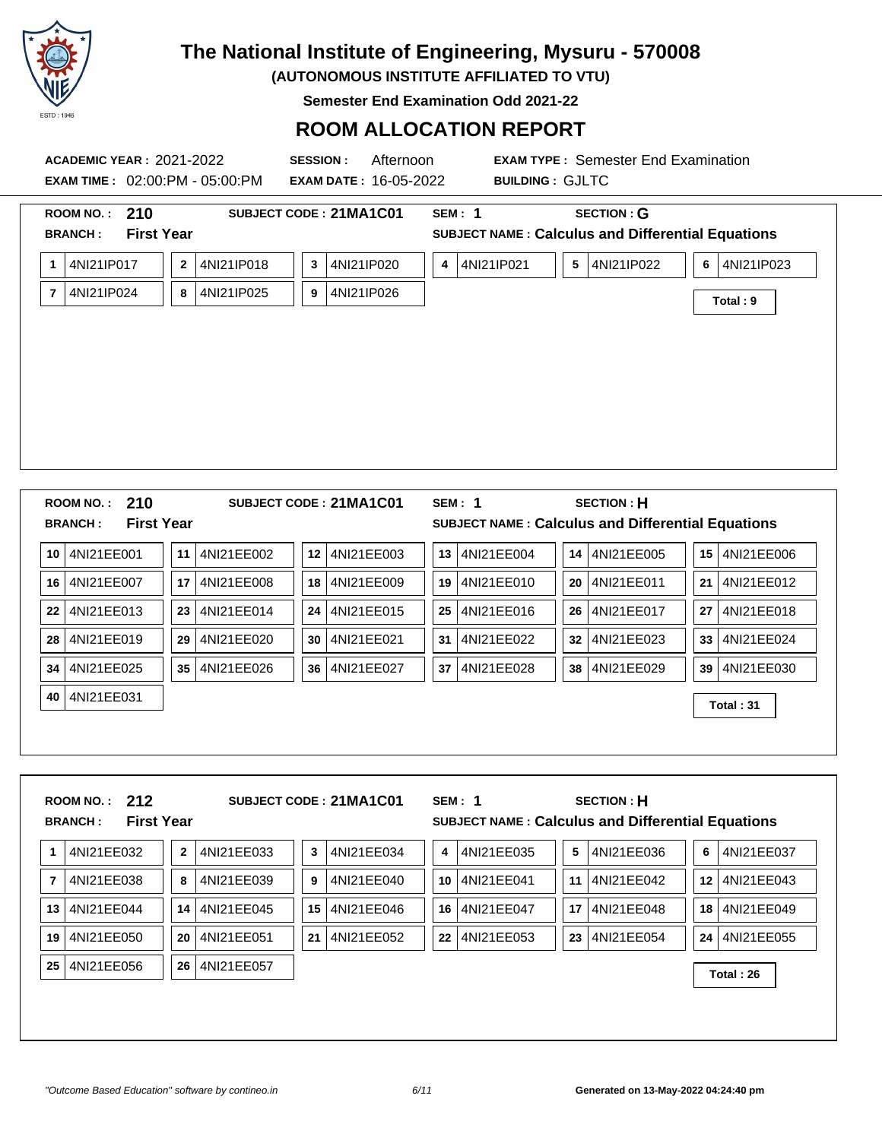

**(AUTONOMOUS INSTITUTE AFFILIATED TO VTU)**

**Semester End Examination Odd 2021-22**

|    |                                                      | <b>ACADEMIC YEAR: 2021-2022</b><br><b>EXAM TIME: 02:00:PM - 05:00:PM</b> | <b>SESSION:</b><br>Afternoon<br><b>EXAM DATE: 16-05-2022</b> | <b>BUILDING: GJLTC</b> | <b>EXAM TYPE: Semester End Examination</b>                                    |                  |
|----|------------------------------------------------------|--------------------------------------------------------------------------|--------------------------------------------------------------|------------------------|-------------------------------------------------------------------------------|------------------|
|    | ROOM NO.: 210<br><b>BRANCH:</b><br><b>First Year</b> |                                                                          | SUBJECT CODE: 21MA1C01                                       | <b>SEM: 1</b>          | <b>SECTION: G</b><br><b>SUBJECT NAME: Calculus and Differential Equations</b> |                  |
|    | 1   4NI21IP017                                       | 4NI21IP018<br>$\mathbf{2}$                                               | 4NI21IP020<br>3                                              | 4 4NI21IP021           | 5 <sup>1</sup><br>4NI21IP022                                                  | 6<br>4NI21IP023  |
|    | 7 4NI21IP024                                         | 4NI21IP025<br>8                                                          | 4NI21IP026<br>9                                              |                        |                                                                               | Total: 9         |
|    |                                                      |                                                                          |                                                              |                        |                                                                               |                  |
|    | ROOM NO.: 210<br><b>First Year</b><br><b>BRANCH:</b> |                                                                          | SUBJECT CODE: 21MA1C01                                       | <b>SEM: 1</b>          | <b>SECTION: H</b><br><b>SUBJECT NAME: Calculus and Differential Equations</b> |                  |
|    | 10 4NI21EE001                                        | 4NI21EE002<br>11                                                         | 12 4NI21EE003                                                | 4NI21EE004<br>13       | 4NI21EE005<br>14                                                              | 15   4NI21EE006  |
|    | 16 4NI21EE007                                        | 4NI21EE008<br>17                                                         | 4NI21EE009<br>18                                             | 4NI21EE010<br>19       | 4NI21EE011<br>20                                                              | 4NI21EE012<br>21 |
| 22 | 4NI21EE013                                           | 4NI21EE014<br>23                                                         | 4NI21EE015<br>24                                             | 4NI21EE016<br>25       | 4NI21EE017<br>26                                                              | 4NI21EE018<br>27 |
|    | 28 4NI21EE019                                        | 4NI21EE020<br>29                                                         | 30 4NI21EE021                                                | 4NI21EE022<br>31       | 4NI21EE023<br>32                                                              | 4NI21EE024<br>33 |
| 34 | 4NI21EE025                                           | 35 4NI21EE026                                                            | 36   4NI21EE027                                              | 4NI21EE028<br>37       | 38<br>4NI21EE029                                                              | 4NI21EE030<br>39 |
| 40 | 4NI21EE031                                           |                                                                          |                                                              |                        |                                                                               | Total: 31        |
|    | ROOM NO.: 212<br><b>First Year</b><br><b>BRANCH:</b> |                                                                          | SUBJECT CODE: 21MA1C01                                       | <b>SEM: 1</b>          | <b>SECTION: H</b><br>SUBJECT NAME : Calculus and Differential Equations       |                  |
| 1  | 4NI21EE032                                           | $\mathbf 2$<br>4NI21EE033                                                | 4NI21EE034<br>3                                              | 4NI21EE035<br>4        | 4NI21EE036<br>5                                                               | 4NI21EE037<br>6  |
| 7  | 4NI21EE038                                           | 4NI21EE039<br>8                                                          | 4NI21EE040<br>9                                              | 4NI21EE041<br>10       | 4NI21EE042<br>11                                                              | 4NI21EE043<br>12 |
| 13 | 4NI21EE044                                           | 4NI21EE045<br>14                                                         | 4NI21EE046<br>15                                             | 4NI21EE047<br>16       | 4NI21EE048<br>17                                                              | 4NI21EE049<br>18 |
|    | 19 4NI21EE050                                        | 4NI21EE051<br>20                                                         | 4NI21EE052<br>21                                             | 22 4NI21EE053          | 23   4NI21EE054                                                               | 24   4NI21EE055  |
|    | 25   4NI21EE056                                      | 26   4NI21EE057                                                          |                                                              |                        |                                                                               | Total: 26        |
|    |                                                      |                                                                          |                                                              |                        |                                                                               |                  |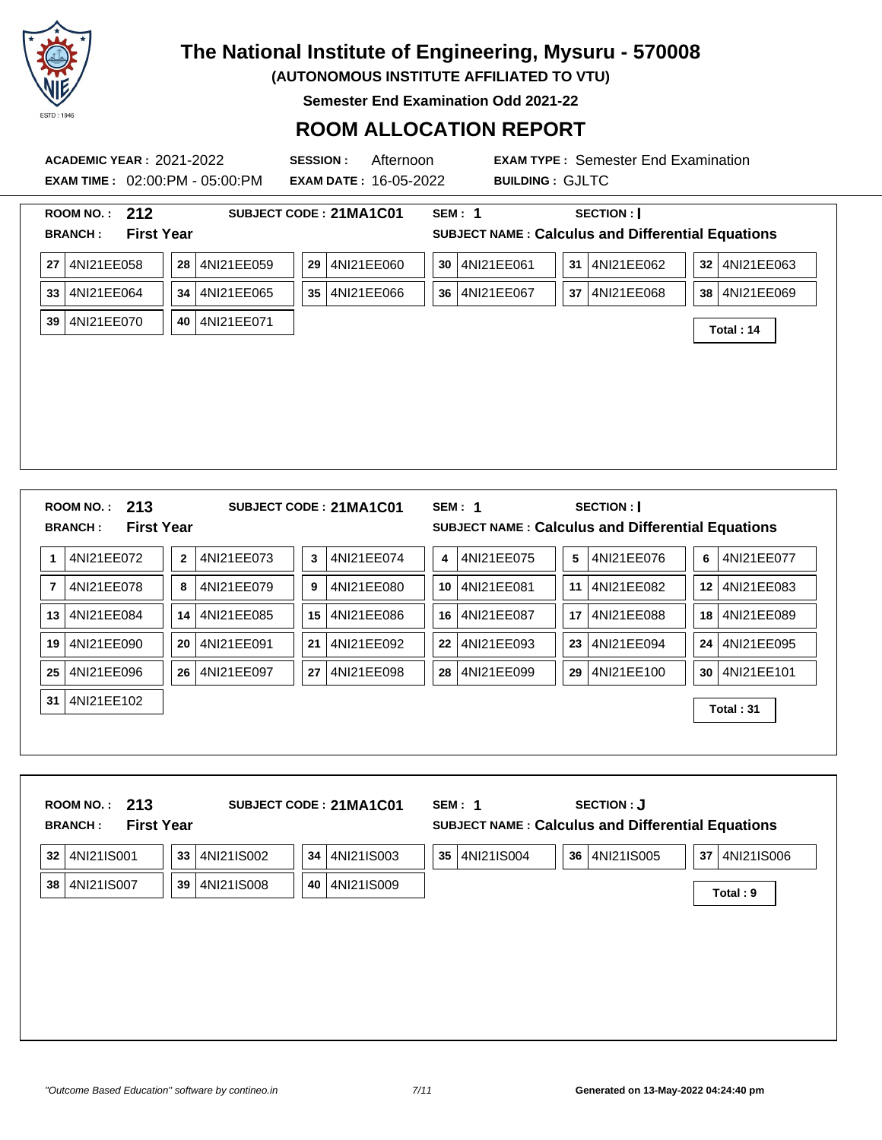

**(AUTONOMOUS INSTITUTE AFFILIATED TO VTU)**

**Semester End Examination Odd 2021-22**

| <b>ACADEMIC YEAR: 2021-2022</b><br><b>EXAM TIME: 02:00:PM - 05:00:PM</b> | <b>SESSION:</b><br>Afternoon<br><b>EXAM DATE: 16-05-2022</b>                         | <b>EXAM TYPE: Semester End Examination</b><br><b>BUILDING: GJLTC</b>                                                |  |
|--------------------------------------------------------------------------|--------------------------------------------------------------------------------------|---------------------------------------------------------------------------------------------------------------------|--|
| ROOM NO.: 212<br><b>First Year</b><br><b>BRANCH:</b>                     | SUBJECT CODE: 21MA1C01                                                               | <b>SEM: 1</b><br>SECTION :  <br><b>SUBJECT NAME: Calculus and Differential Equations</b>                            |  |
| 27 4NI21EE058<br>33 4NI21EE064<br>39 4NI21EE070                          | 28 4NI21EE059<br>29 4NI21EE060<br>4NI21EE065<br>35 4NI21EE066<br>34<br>40 4NI21EE071 | 31 4NI21EE062<br>30 4NI21EE061<br>32 4NI21EE063<br>36 4NI21EE067<br>37   4NI21EE068<br>38   4NI21EE069<br>Total: 14 |  |
| ROOM NO.: 213<br><b>First Year</b><br><b>BRANCH:</b>                     | SUBJECT CODE: 21MA1C01                                                               | <b>SEM: 1</b><br>SECTION :  <br><b>SUBJECT NAME: Calculus and Differential Equations</b>                            |  |
| 4NI21EE072<br>1                                                          | 4NI21EE073<br>4NI21EE074<br>$\mathbf{2}$<br>$\mathbf{3}$                             | 4NI21EE075<br>4NI21EE076<br>$5\phantom{.0}$<br>6<br>4NI21EE077<br>4                                                 |  |
| 4NI21EE078<br>7                                                          | 4NI21EE079<br>4NI21EE080<br>8<br>9                                                   | 4NI21EE081<br>11<br>4NI21EE082<br>12   4NI21EE083<br>10                                                             |  |
| 13 4NI21EE084                                                            | 14<br>4NI21EE085<br>15   4NI21EE086                                                  | 16 4NI21EE087<br>17<br>4NI21EE088<br>18   4NI21EE089                                                                |  |
| 19 4NI21EE090                                                            | 4NI21EE091<br>4NI21EE092<br>20<br>21                                                 | 22 4NI21EE093<br>23 4NI21EE094<br>24 4NI21EE095                                                                     |  |
| 4NI21EE096<br>25                                                         | 26 4NI21EE097<br>4NI21EE098<br>27                                                    | 28 4NI21EE099<br>29 4NI21EE100<br>30 4NI21EE101                                                                     |  |
| 31 4NI21EE102                                                            |                                                                                      | Total: 31                                                                                                           |  |
| 213<br><b>ROOM NO.:</b><br><b>First Year</b><br><b>BRANCH:</b>           | SUBJECT CODE: 21MA1C01                                                               | <b>SECTION: J</b><br><b>SEM: 1</b><br>SUBJECT NAME : Calculus and Differential Equations                            |  |
| 32 4NI21IS001                                                            | 4NI21IS002<br>4NI21IS003<br>33<br>34                                                 | 36 4NI21IS005<br>35 4NI21IS004<br>37 4NI21IS006                                                                     |  |
| 38 4NI21IS007                                                            | 4NI21IS009<br>4NI21IS008<br>39<br>40                                                 | Total: 9                                                                                                            |  |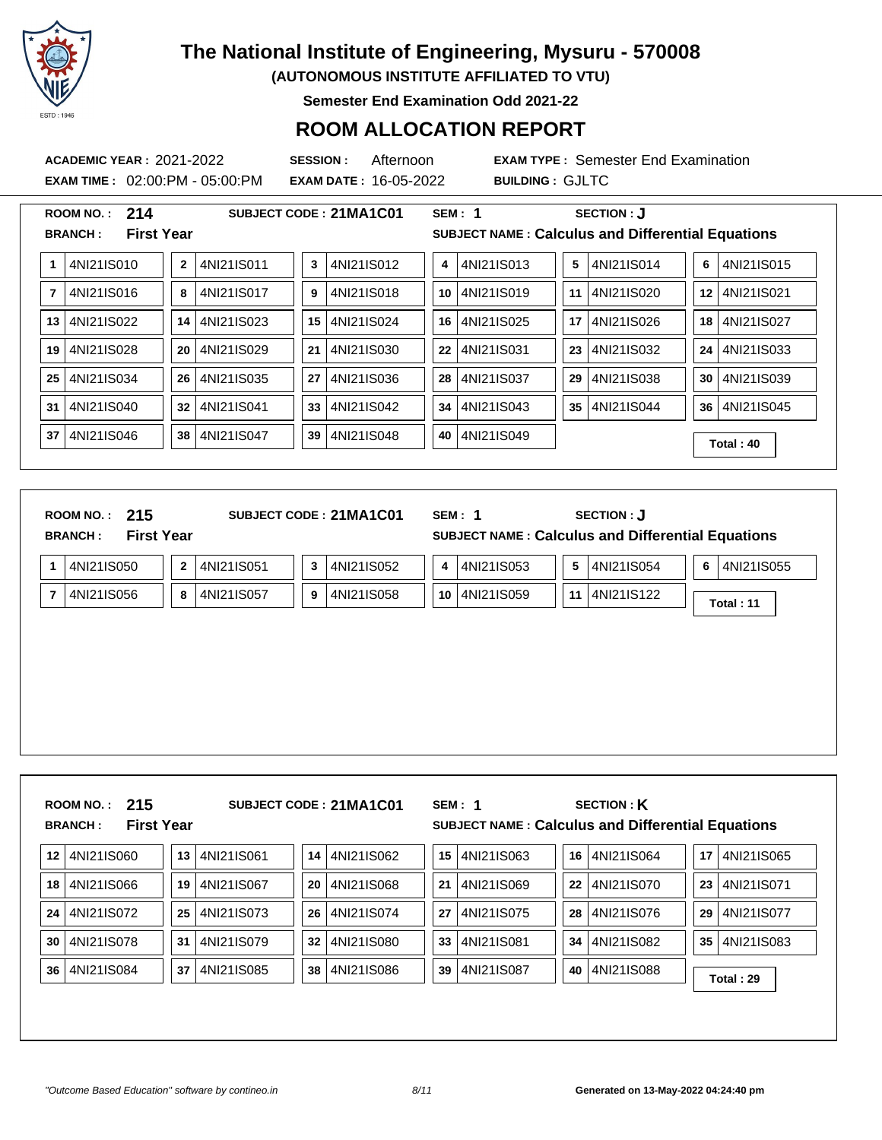

**(AUTONOMOUS INSTITUTE AFFILIATED TO VTU)**

**Semester End Examination Odd 2021-22**

### **ROOM ALLOCATION REPORT**

**EXAM TIME :** 02:00:PM - 05:00:PM **EXAM DATE :** 16-05-2022 **BUILDING :** GJLTC

**ACADEMIC YEAR :** 2021-2022 **SESSION :** Afternoon **EXAM TYPE :** Semester End Examination

J.

|    | 214<br><b>ROOM NO.:</b><br><b>First Year</b><br><b>BRANCH:</b> |              |            |    | SUBJECT CODE: 21MA1C01 |    | SEM: 1     |    | SECTION : J<br><b>SUBJECT NAME: Calculus and Differential Equations</b> |    |            |
|----|----------------------------------------------------------------|--------------|------------|----|------------------------|----|------------|----|-------------------------------------------------------------------------|----|------------|
|    | 4NI21IS010                                                     | $\mathbf{2}$ | 4NI21IS011 | 3  | 4NI21IS012             | 4  | 4NI21IS013 | 5  | 4NI21IS014                                                              | 6  | 4NI21IS015 |
| 7  | 4NI21IS016                                                     | 8            | 4NI21IS017 | 9  | 4NI21IS018             | 10 | 4NI21IS019 | 11 | 4NI21IS020                                                              | 12 | 4NI21IS021 |
| 13 | 4NI21IS022                                                     | 14           | 4NI21IS023 | 15 | 4NI21IS024             | 16 | 4NI21IS025 | 17 | 4NI21IS026                                                              | 18 | 4NI21IS027 |
| 19 | 4NI21IS028                                                     | 20           | 4NI21IS029 | 21 | 4NI21IS030             | 22 | 4NI21IS031 | 23 | 4NI21IS032                                                              | 24 | 4NI21IS033 |
| 25 | 4NI21IS034                                                     | 26           | 4NI21IS035 | 27 | 4NI21IS036             | 28 | 4NI21IS037 | 29 | 4NI21IS038                                                              | 30 | 4NI21IS039 |
| 31 | 4NI21IS040                                                     | 32           | 4NI21IS041 | 33 | 4NI21IS042             | 34 | 4NI21IS043 | 35 | 4NI21IS044                                                              | 36 | 4NI21IS045 |
| 37 | 4NI21IS046                                                     | 38           | 4NI21IS047 | 39 | 4NI21IS048             | 40 | 4NI21IS049 |    |                                                                         |    | Total: 40  |

| ROOM NO.: $215$<br><b>BRANCH:</b> | <b>First Year</b>          | <b>SUBJECT CODE : 21MA1C01</b> | <b>SEM: 1</b>     | SECTION : J<br><b>SUBJECT NAME: Calculus and Differential Equations</b> |                 |
|-----------------------------------|----------------------------|--------------------------------|-------------------|-------------------------------------------------------------------------|-----------------|
| 4NI21IS050                        | 4NI21IS051<br>$\mathbf{2}$ | 4NI21IS052<br>3                | 4NI21IS053<br>4 I | 4NI21IS054<br>5                                                         | 4NI21IS055<br>6 |
| 4NI21IS056                        | 4NI21IS057<br>8            | 4NI21IS058<br>9                | 10   4NI21IS059   | 11 4NI21IS122                                                           | Total: 11       |
|                                   |                            |                                |                   |                                                                         |                 |
|                                   |                            |                                |                   |                                                                         |                 |
|                                   |                            |                                |                   |                                                                         |                 |
|                                   |                            |                                |                   |                                                                         |                 |
|                                   |                            |                                |                   |                                                                         |                 |
|                                   |                            |                                |                   |                                                                         |                 |
| ROOM NO.: 215                     |                            | SUBJECT CODE: 21MA1C01         | SEM: 1            | <b>SECTION: K</b>                                                       |                 |
| <b>BRANCH:</b>                    | <b>First Year</b>          |                                |                   | <b>SUBJECT NAME: Calculus and Differential Equations</b>                |                 |

| 12 | 4NI21IS060 | 13 | 4NI21IS061 | 14 | 4NI21IS062   | 15 | 4NI21IS063 | 16 | 4NI21IS064  | 17 | 14NI21IS065 |
|----|------------|----|------------|----|--------------|----|------------|----|-------------|----|-------------|
| 18 | 4NI21IS066 | 19 | 4NI21IS067 | 20 | l 4NI21IS068 | 21 | 4NI21IS069 | 22 | 14NI21IS070 | 23 | 14NI21IS071 |
| 24 | 4NI21IS072 | 25 | 4NI21IS073 | 26 | 14NI21IS074  | 27 | 4NI21IS075 | 28 | 4NI21IS076  | 29 | 14NI21IS077 |
| 30 | 4NI21IS078 | 31 | 4NI21IS079 | 32 | 14NI21IS080  | 33 | 4NI21IS081 | 34 | 14NI21IS082 | 35 | 14NI21IS083 |
| 36 | 4NI21IS084 | 37 | 4NI21IS085 | 38 | 4NI21IS086   | 39 | 4NI21IS087 | 40 | 4NI21IS088  |    | Total: 29   |
|    |            |    |            |    |              |    |            |    |             |    |             |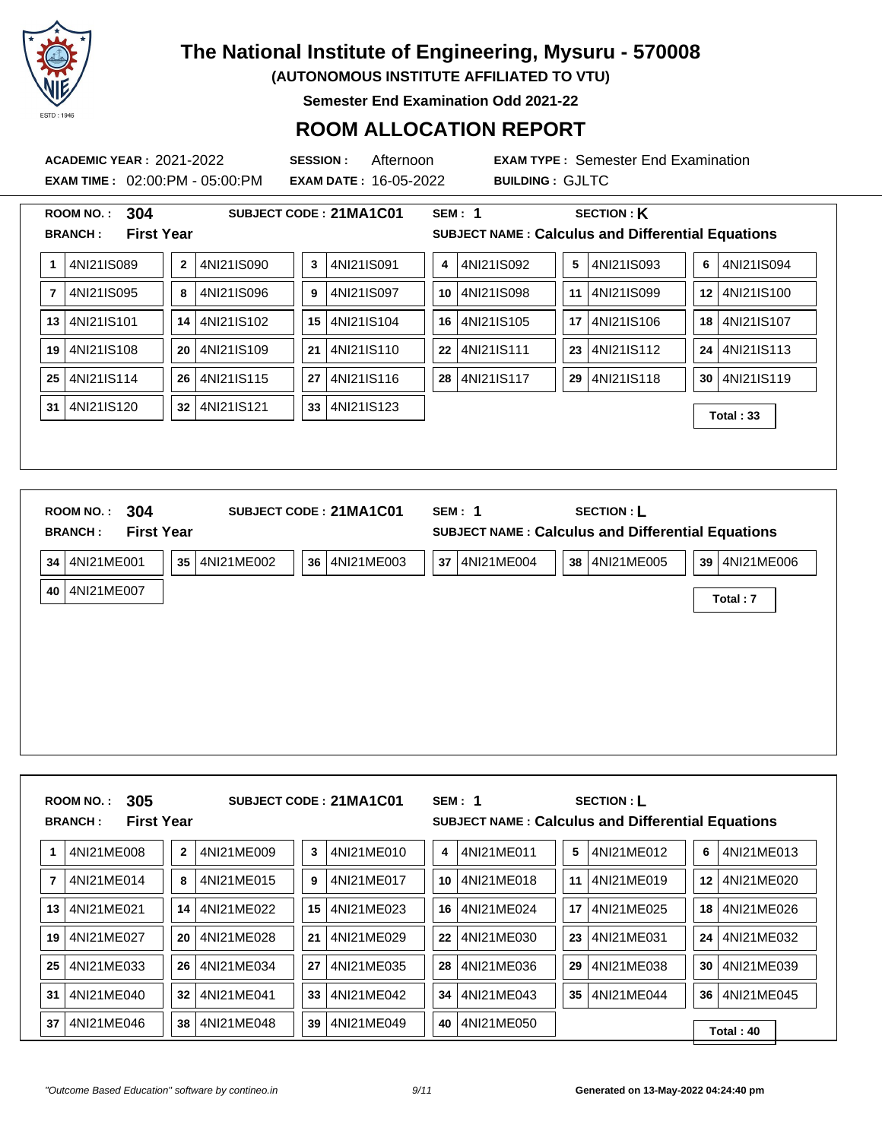

**(AUTONOMOUS INSTITUTE AFFILIATED TO VTU)**

**Semester End Examination Odd 2021-22**

#### **ROOM ALLOCATION REPORT**

**ACADEMIC YEAR :** 2021-2022 **SESSION :** Afternoon **EXAM TYPE :** Semester End Examination **EXAM TIME :** 02:00:PM - 05:00:PM **EXAM DATE :** 16-05-2022 **BUILDING :** GJLTC **ROOM NO. : 304 SUBJECT CODE : 21MA1C01 SEM : 1 SECTION : K BRANCH : First Year SUBJECT NAME : Calculus and Differential Equations 1** 4NI21IS089 **2** 4NI21IS090 **3** 4NI21IS091 **4** 4NI21IS092 **5** 4NI21IS093 **6** 4NI21IS094 **7** 4NI21IS095 **8** 4NI21IS096 **9** 4NI21IS097 **10** 4NI21IS098 **11** 4NI21IS099 **12** 4NI21IS100 **13** 4NI21IS101 **14** 4NI21IS102 **15** 4NI21IS104 **16** 4NI21IS105 **17** 4NI21IS106 **18** 4NI21IS107 **19** 4NI21IS108 **20** 4NI21IS109 **21** 4NI21IS110 **22** 4NI21IS111 **23** 4NI21IS112 **24** 4NI21IS113 **25** 4NI21IS114 **26** 4NI21IS115 **27** 4NI21IS116 **28** 4NI21IS117 **29** 4NI21IS118 **30** 4NI21IS119 **<sup>31</sup>** 4NI21IS120 **<sup>32</sup>** 4NI21IS121 **<sup>33</sup>** 4NI21IS123 **Total : 33 ROOM NO. : 304 SUBJECT CODE : 21MA1C01 SEM : 1 SECTION : L BRANCH : First Year SUBJECT NAME : Calculus and Differential Equations**

| 34 |                 | 4NI21ME001 | 35 | 4NI21ME002 | 36 | 4NI21ME003 | 37 | 4NI21ME004 | 38 | 4NI21ME005 | 39 | 4NI21ME006 |  |
|----|-----------------|------------|----|------------|----|------------|----|------------|----|------------|----|------------|--|
|    | 40 <sup>1</sup> | 4NI21ME007 |    |            |    |            |    |            |    |            |    | Total: 7   |  |
|    |                 |            |    |            |    |            |    |            |    |            |    |            |  |
|    |                 |            |    |            |    |            |    |            |    |            |    |            |  |
|    |                 |            |    |            |    |            |    |            |    |            |    |            |  |
|    |                 |            |    |            |    |            |    |            |    |            |    |            |  |
|    |                 |            |    |            |    |            |    |            |    |            |    |            |  |
|    |                 |            |    |            |    |            |    |            |    |            |    |            |  |
|    |                 |            |    |            |    |            |    |            |    |            |    |            |  |

|    | 305<br><b>ROOM NO.:</b><br><b>First Year</b><br><b>BRANCH:</b> |              |            |    | SUBJECT CODE: 21MA1C01 |    | SEM: 1     |    | <b>SECTION: L</b><br><b>SUBJECT NAME: Calculus and Differential Equations</b> |    |            |  |
|----|----------------------------------------------------------------|--------------|------------|----|------------------------|----|------------|----|-------------------------------------------------------------------------------|----|------------|--|
|    | 4NI21ME008                                                     | $\mathbf{2}$ | 4NI21ME009 | 3  | 4NI21ME010             | 4  | 4NI21ME011 | 5  | 4NI21ME012                                                                    | 6  | 4NI21ME013 |  |
| 7  | 4NI21ME014                                                     | 8            | 4NI21ME015 | 9  | 4NI21ME017             | 10 | 4NI21ME018 | 11 | 4NI21ME019                                                                    | 12 | 4NI21ME020 |  |
| 13 | 4NI21ME021                                                     | 14           | 4NI21ME022 | 15 | 4NI21ME023             | 16 | 4NI21ME024 | 17 | 4NI21ME025                                                                    | 18 | 4NI21ME026 |  |
| 19 | 4NI21ME027                                                     | 20           | 4NI21ME028 | 21 | 4NI21ME029             | 22 | 4NI21ME030 | 23 | 4NI21ME031                                                                    | 24 | 4NI21ME032 |  |
| 25 | 4NI21ME033                                                     | 26           | 4NI21ME034 | 27 | 4NI21ME035             | 28 | 4NI21ME036 | 29 | 4NI21ME038                                                                    | 30 | 4NI21ME039 |  |
| 31 | 4NI21ME040                                                     | 32           | 4NI21ME041 | 33 | 4NI21ME042             | 34 | 4NI21ME043 | 35 | 4NI21ME044                                                                    | 36 | 4NI21ME045 |  |
| 37 | 4NI21ME046                                                     | 38           | 4NI21ME048 | 39 | 4NI21ME049             | 40 | 4NI21ME050 |    |                                                                               |    | Total: 40  |  |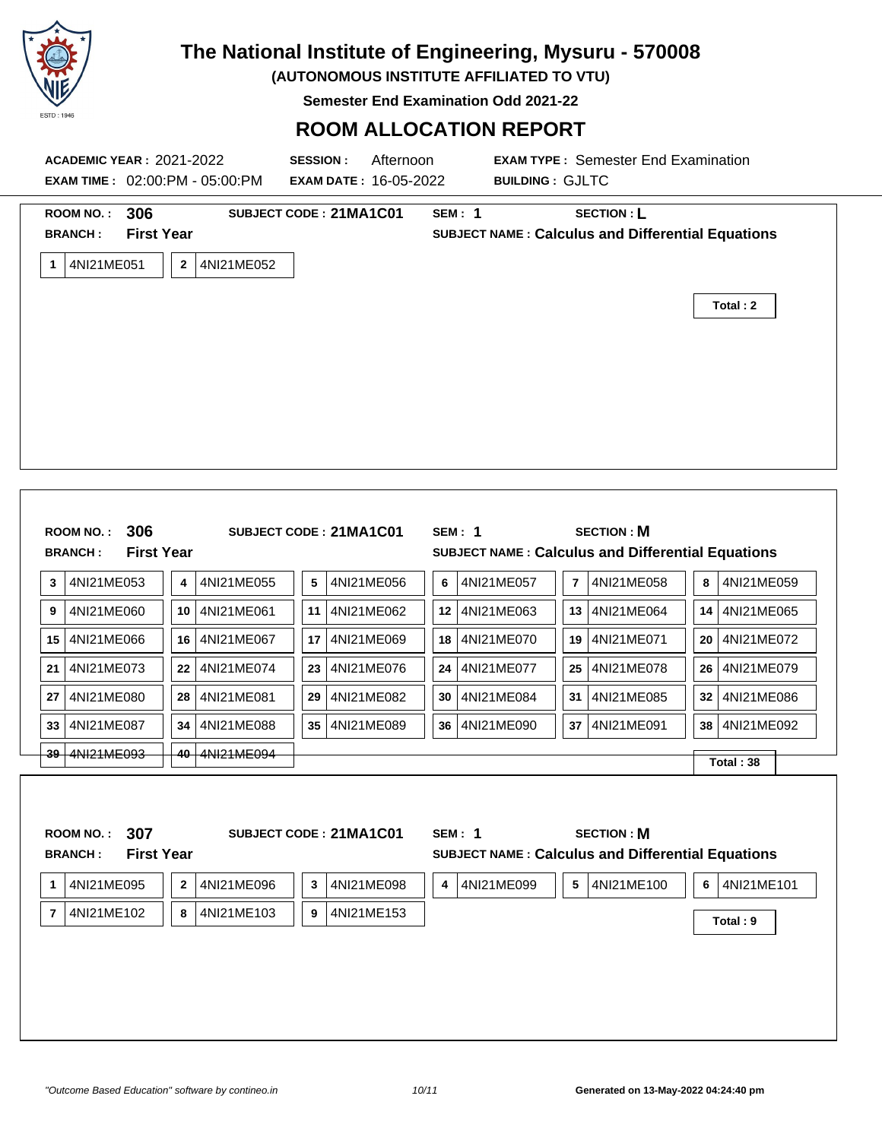

**(AUTONOMOUS INSTITUTE AFFILIATED TO VTU)**

**Semester End Examination Odd 2021-22**

|    |                                                    |                                          | <b>ACADEMIC YEAR: 2021-2022</b><br><b>EXAM TIME : 02:00:PM - 05:00:PM</b> | <b>SESSION:</b><br><b>EXAM DATE: 16-05-2022</b> | Afternoon        | <b>EXAM TYPE: Semester End Examination</b><br><b>BUILDING: GJLTC</b> |                                                                               |                  |  |  |  |  |
|----|----------------------------------------------------|------------------------------------------|---------------------------------------------------------------------------|-------------------------------------------------|------------------|----------------------------------------------------------------------|-------------------------------------------------------------------------------|------------------|--|--|--|--|
|    | <b>ROOM NO.:</b><br><b>BRANCH:</b><br>1 4NI21ME051 | 306<br><b>First Year</b><br>$\mathbf{2}$ | 4NI21ME052                                                                | SUBJECT CODE: 21MA1C01                          | <b>SEM: 1</b>    |                                                                      | <b>SECTION: L</b><br><b>SUBJECT NAME: Calculus and Differential Equations</b> | Total: 2         |  |  |  |  |
|    | ROOM NO.: 306<br><b>BRANCH:</b>                    | <b>First Year</b>                        |                                                                           | SUBJECT CODE: 21MA1C01                          | <b>SEM: 1</b>    |                                                                      | <b>SECTION: M</b><br>SUBJECT NAME : Calculus and Differential Equations       |                  |  |  |  |  |
| 3  | 4NI21ME053                                         | 4                                        | 4NI21ME055                                                                | 5<br>4NI21ME056                                 | 6                | 4NI21ME057<br>7                                                      | 4NI21ME058                                                                    | 8<br>4NI21ME059  |  |  |  |  |
| 9  | 4NI21ME060                                         | 10                                       | 4NI21ME061                                                                | 11<br>4NI21ME062                                | 12   4NI21ME063  |                                                                      | 13   4NI21ME064                                                               | 14<br>4NI21ME065 |  |  |  |  |
|    | 15 4NI21ME066                                      | 16                                       | 4NI21ME067                                                                | 17<br>4NI21ME069                                | 18   4NI21ME070  |                                                                      | 19   4NI21ME071                                                               | 20<br>4NI21ME072 |  |  |  |  |
| 21 | 4NI21ME073                                         | 22                                       | 4NI21ME074                                                                | 23<br>4NI21ME076                                | 24   4NI21ME077  | 25                                                                   | 4NI21ME078                                                                    | 26<br>4NI21ME079 |  |  |  |  |
| 27 | 4NI21ME080                                         | 28                                       | 4NI21ME081                                                                | 4NI21ME082<br>29                                | 30<br>4NI21ME084 | 31                                                                   | 4NI21ME085                                                                    | 4NI21ME086<br>32 |  |  |  |  |
| 33 | 4NI21ME087                                         | 34                                       | 4NI21ME088                                                                | 35 <sub>5</sub><br>4NI21ME089                   | 36   4NI21ME090  | 37                                                                   | 4NI21ME091                                                                    | 38<br>4NI21ME092 |  |  |  |  |
|    | 39 4NI21ME093                                      | 40                                       | 4NI21ME094                                                                |                                                 |                  |                                                                      |                                                                               | Total: 38        |  |  |  |  |
|    | <b>ROOM NO.:</b><br><b>BRANCH:</b>                 | 307<br><b>First Year</b>                 |                                                                           | SUBJECT CODE: 21MA1C01                          | <b>SEM: 1</b>    |                                                                      | <b>SECTION: M</b><br>SUBJECT NAME : Calculus and Differential Equations       |                  |  |  |  |  |
| 1  | 4NI21ME095                                         | $\bf 2$                                  | 4NI21ME096                                                                | 3<br>4NI21ME098                                 | 4<br>4NI21ME099  | $5\phantom{.0}$                                                      | 4NI21ME100                                                                    | 6<br>4NI21ME101  |  |  |  |  |
|    | 7 4NI21ME102                                       | 8                                        | 4NI21ME103                                                                | 9<br>4NI21ME153                                 |                  |                                                                      |                                                                               | Total: 9         |  |  |  |  |